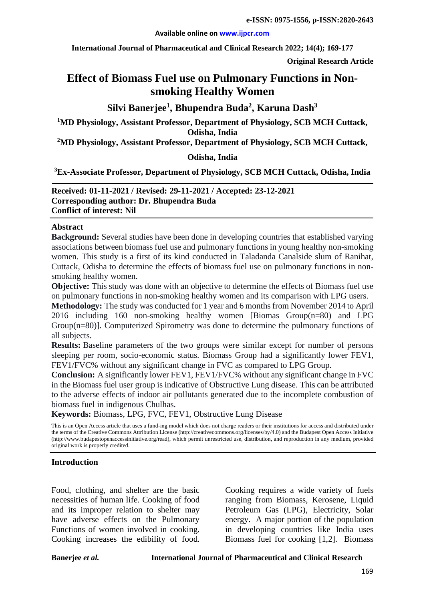#### **Available online on [www.ijpcr.com](http://www.ijpcr.com/)**

**International Journal of Pharmaceutical and Clinical Research 2022; 14(4); 169-177**

**Original Research Article**

# **Effect of Biomass Fuel use on Pulmonary Functions in Nonsmoking Healthy Women**

# **Silvi Banerjee1 , Bhupendra Buda2 , Karuna Dash3**

**1 MD Physiology, Assistant Professor, Department of Physiology, SCB MCH Cuttack, Odisha, India**

**2 MD Physiology, Assistant Professor, Department of Physiology, SCB MCH Cuttack,** 

### **Odisha, India**

**3 Ex-Associate Professor, Department of Physiology, SCB MCH Cuttack, Odisha, India**

**Received: 01-11-2021 / Revised: 29-11-2021 / Accepted: 23-12-2021 Corresponding author: Dr. Bhupendra Buda Conflict of interest: Nil**

#### **Abstract**

**Background:** Several studies have been done in developing countries that established varying associations between biomass fuel use and pulmonary functions in young healthy non-smoking women. This study is a first of its kind conducted in Taladanda Canalside slum of Ranihat, Cuttack, Odisha to determine the effects of biomass fuel use on pulmonary functions in nonsmoking healthy women.

**Objective:** This study was done with an objective to determine the effects of Biomass fuel use on pulmonary functions in non-smoking healthy women and its comparison with LPG users.

**Methodology:** The study was conducted for 1 year and 6 months from November 2014 to April 2016 including 160 non-smoking healthy women [Biomas Group(n=80) and LPG Group(n=80)]. Computerized Spirometry was done to determine the pulmonary functions of all subjects.

**Results:** Baseline parameters of the two groups were similar except for number of persons sleeping per room, socio-economic status. Biomass Group had a significantly lower FEV1, FEV1/FVC% without any significant change in FVC as compared to LPG Group.

**Conclusion:** A significantly lower FEV1, FEV1/FVC% without any significant change in FVC in the Biomass fuel user group is indicative of Obstructive Lung disease. This can be attributed to the adverse effects of indoor air pollutants generated due to the incomplete combustion of biomass fuel in indigenous Chulhas.

**Keywords:** Biomass, LPG, FVC, FEV1, Obstructive Lung Disease

This is an Open Access article that uses a fund-ing model which does not charge readers or their institutions for access and distributed under the terms of the Creative Commons Attribution License (http://creativecommons.org/licenses/by/4.0) and the Budapest Open Access Initiative (http://www.budapestopenaccessinitiative.org/read), which permit unrestricted use, distribution, and reproduction in any medium, provided original work is properly credited.

#### **Introduction**

Food, clothing, and shelter are the basic necessities of human life. Cooking of food and its improper relation to shelter may have adverse effects on the Pulmonary Functions of women involved in cooking. Cooking increases the edibility of food.

Cooking requires a wide variety of fuels ranging from Biomass, Kerosene, Liquid Petroleum Gas (LPG), Electricity, Solar energy. A major portion of the population in developing countries like India uses Biomass fuel for cooking [1,2]. Biomass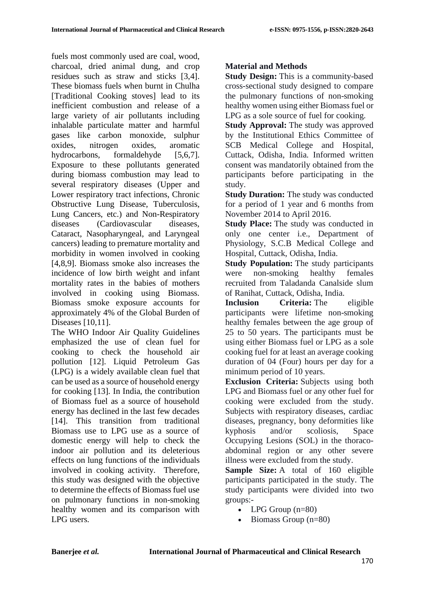fuels most commonly used are coal, wood, charcoal, dried animal dung, and crop residues such as straw and sticks [3,4]. These biomass fuels when burnt in Chulha [Traditional Cooking stoves] lead to its inefficient combustion and release of a large variety of air pollutants including inhalable particulate matter and harmful gases like carbon monoxide, sulphur oxides, nitrogen oxides, aromatic hydrocarbons, formaldehyde [5,6,7]. Exposure to these pollutants generated during biomass combustion may lead to several respiratory diseases (Upper and Lower respiratory tract infections, Chronic Obstructive Lung Disease, Tuberculosis, Lung Cancers, etc.) and Non-Respiratory diseases (Cardiovascular diseases, Cataract, Nasopharyngeal, and Laryngeal cancers) leading to premature mortality and morbidity in women involved in cooking [4,8,9]. Biomass smoke also increases the incidence of low birth weight and infant mortality rates in the babies of mothers involved in cooking using Biomass. Biomass smoke exposure accounts for approximately 4% of the Global Burden of Diseases [10,11].

The WHO Indoor Air Quality Guidelines emphasized the use of clean fuel for cooking to check the household air pollution [12]. Liquid Petroleum Gas (LPG) is a widely available clean fuel that can be used as a source of household energy for cooking [13]. In India, the contribution of Biomass fuel as a source of household energy has declined in the last few decades [14]. This transition from traditional Biomass use to LPG use as a source of domestic energy will help to check the indoor air pollution and its deleterious effects on lung functions of the individuals involved in cooking activity. Therefore, this study was designed with the objective to determine the effects of Biomass fuel use on pulmonary functions in non-smoking healthy women and its comparison with LPG users.

# **Material and Methods**

**Study Design:** This is a community-based cross-sectional study designed to compare the pulmonary functions of non-smoking healthy women using either Biomass fuel or LPG as a sole source of fuel for cooking.

**Study Approval:** The study was approved by the Institutional Ethics Committee of SCB Medical College and Hospital, Cuttack, Odisha, India. Informed written consent was mandatorily obtained from the participants before participating in the study.

**Study Duration:** The study was conducted for a period of 1 year and 6 months from November 2014 to April 2016.

**Study Place:** The study was conducted in only one center i.e., Department of Physiology, S.C.B Medical College and Hospital, Cuttack, Odisha, India.

**Study Population:** The study participants were non-smoking healthy females recruited from Taladanda Canalside slum of Ranihat, Cuttack, Odisha, India.

**Inclusion Criteria:** The eligible participants were lifetime non-smoking healthy females between the age group of 25 to 50 years. The participants must be using either Biomass fuel or LPG as a sole cooking fuel for at least an average cooking duration of 04 (Four) hours per day for a minimum period of 10 years.

**Exclusion Criteria:** Subjects using both LPG and Biomass fuel or any other fuel for cooking were excluded from the study. Subjects with respiratory diseases, cardiac diseases, pregnancy, bony deformities like kyphosis and/or scoliosis, Space Occupying Lesions (SOL) in the thoracoabdominal region or any other severe illness were excluded from the study.

**Sample Size:** A total of 160 eligible participants participated in the study. The study participants were divided into two groups:-

- LPG Group (n=80)
- Biomass Group (n=80)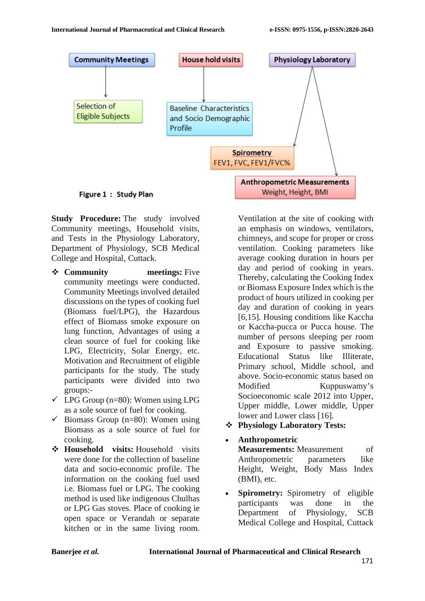

**Study Procedure:** The study involved Community meetings, Household visits, and Tests in the Physiology Laboratory, Department of Physiology, SCB Medical College and Hospital, Cuttack.

- **❖ Community meetings:** Five community meetings were conducted. Community Meetings involved detailed discussions on the types of cooking fuel (Biomass fuel/LPG), the Hazardous effect of Biomass smoke exposure on lung function, Advantages of using a clean source of fuel for cooking like LPG, Electricity, Solar Energy, etc. Motivation and Recruitment of eligible participants for the study. The study participants were divided into two groups:-
- $\checkmark$  LPG Group (n=80): Women using LPG as a sole source of fuel for cooking.
- $\checkmark$  Biomass Group (n=80): Women using Biomass as a sole source of fuel for cooking.
- **Household visits:** Household visits were done for the collection of baseline data and socio-economic profile. The information on the cooking fuel used i.e. Biomass fuel or LPG. The cooking method is used like indigenous Chulhas or LPG Gas stoves. Place of cooking ie open space or Verandah or separate kitchen or in the same living room.

Ventilation at the site of cooking with an emphasis on windows, ventilators, chimneys, and scope for proper or cross ventilation. Cooking parameters like average cooking duration in hours per day and period of cooking in years. Thereby, calculating the Cooking Index or Biomass Exposure Index which is the product of hours utilized in cooking per day and duration of cooking in years [6,15]. Housing conditions like Kaccha or Kaccha-pucca or Pucca house. The number of persons sleeping per room and Exposure to passive smoking. Educational Status like Illiterate, Primary school, Middle school, and above. Socio-economic status based on Modified Kuppuswamy's Socioeconomic scale 2012 into Upper, Upper middle, Lower middle, Upper lower and Lower class [16].

- **Physiology Laboratory Tests:**
- **Anthropometric Measurements:** Measurement of Anthropometric parameters like Height, Weight, Body Mass Index
- **Spirometry:** Spirometry of eligible participants was done in the Department of Physiology, SCB Medical College and Hospital, Cuttack

(BMI), etc.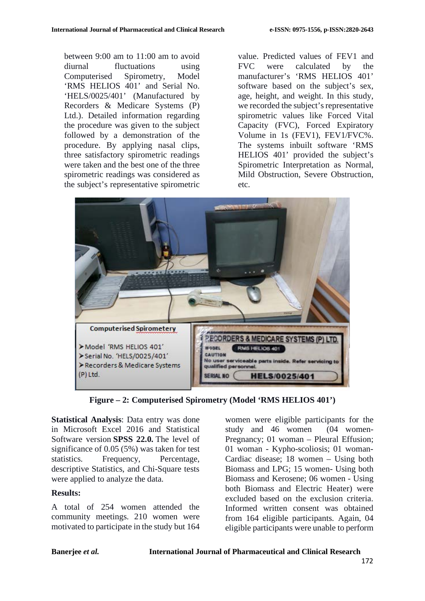between 9:00 am to 11:00 am to avoid diurnal fluctuations using Computerised Spirometry, Model 'RMS HELIOS 401' and Serial No. 'HELS/0025/401' (Manufactured by Recorders & Medicare Systems (P) Ltd.). Detailed information regarding the procedure was given to the subject followed by a demonstration of the procedure. By applying nasal clips, three satisfactory spirometric readings were taken and the best one of the three spirometric readings was considered as the subject's representative spirometric

value. Predicted values of FEV1 and FVC were calculated by the manufacturer's 'RMS HELIOS 401' software based on the subject's sex, age, height, and weight. In this study, we recorded the subject's representative spirometric values like Forced Vital Capacity (FVC), Forced Expiratory Volume in 1s (FEV1), FEV1/FVC%. The systems inbuilt software 'RMS HELIOS 401' provided the subject's Spirometric Interpretation as Normal, Mild Obstruction, Severe Obstruction, etc.



**Figure – 2: Computerised Spirometry (Model 'RMS HELIOS 401')**

**Statistical Analysis**: Data entry was done in Microsoft Excel 2016 and Statistical Software version **SPSS 22.0.** The level of significance of 0.05 (5%) was taken for test statistics. Frequency, Percentage, descriptive Statistics, and Chi-Square tests were applied to analyze the data.

### **Results:**

A total of 254 women attended the community meetings. 210 women were motivated to participate in the study but 164 women were eligible participants for the study and 46 women (04 women-Pregnancy; 01 woman – Pleural Effusion; 01 woman - Kypho-scoliosis; 01 woman-Cardiac disease; 18 women – Using both Biomass and LPG; 15 women- Using both Biomass and Kerosene; 06 women - Using both Biomass and Electric Heater) were excluded based on the exclusion criteria. Informed written consent was obtained from 164 eligible participants. Again, 04 eligible participants were unable to perform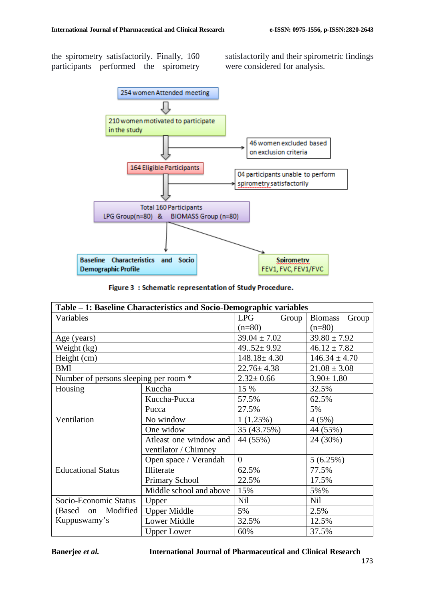the spirometry satisfactorily. Finally, 160 participants performed the spirometry satisfactorily and their spirometric findings were considered for analysis.



| Table – 1: Baseline Characteristics and Socio-Demographic variables |                         |                     |                         |  |  |  |
|---------------------------------------------------------------------|-------------------------|---------------------|-------------------------|--|--|--|
| Variables                                                           |                         | <b>LPG</b><br>Group | Group<br><b>Biomass</b> |  |  |  |
|                                                                     |                         | $(n=80)$            | $(n=80)$                |  |  |  |
| Age (years)                                                         |                         | $39.04 \pm 7.02$    | $39.80 \pm 7.92$        |  |  |  |
| Weight (kg)                                                         |                         | $49.52 \pm 9.92$    | $46.12 \pm 7.82$        |  |  |  |
| Height (cm)                                                         |                         | $148.18 \pm 4.30$   | $146.34 \pm 4.70$       |  |  |  |
| <b>BMI</b>                                                          |                         | $22.76 \pm 4.38$    | $21.08 \pm 3.08$        |  |  |  |
| Number of persons sleeping per room *                               |                         | $2.32 \pm 0.66$     | $3.90 \pm 1.80$         |  |  |  |
| Housing                                                             | Kuccha                  | 15 %                | 32.5%                   |  |  |  |
|                                                                     | Kuccha-Pucca            | 57.5%               | 62.5%                   |  |  |  |
|                                                                     | Pucca                   | 27.5%               | 5%                      |  |  |  |
| Ventilation                                                         | No window               | 1(1.25%)            | 4(5%)                   |  |  |  |
|                                                                     | One widow               | 35 (43.75%)         | 44 (55%)                |  |  |  |
|                                                                     | Atleast one window and  | 44 (55%)            | 24 (30%)                |  |  |  |
|                                                                     | ventilator / Chimney    |                     |                         |  |  |  |
|                                                                     | Open space / Verandah   | $\theta$            | 5(6.25%)                |  |  |  |
| <b>Educational Status</b>                                           | Illiterate              | 62.5%               | 77.5%                   |  |  |  |
|                                                                     | <b>Primary School</b>   | 22.5%               | 17.5%                   |  |  |  |
|                                                                     | Middle school and above | 15%                 | 5%%                     |  |  |  |
| Socio-Economic Status                                               | Upper                   | <b>Nil</b>          | <b>Nil</b>              |  |  |  |
| (Based on Modified                                                  | <b>Upper Middle</b>     | 5%                  | 2.5%                    |  |  |  |
| Kuppuswamy's                                                        | Lower Middle            | 32.5%               | 12.5%                   |  |  |  |
|                                                                     | <b>Upper Lower</b>      | 60%                 | 37.5%                   |  |  |  |

**Banerjee** *et al.* **International Journal of Pharmaceutical and Clinical Research**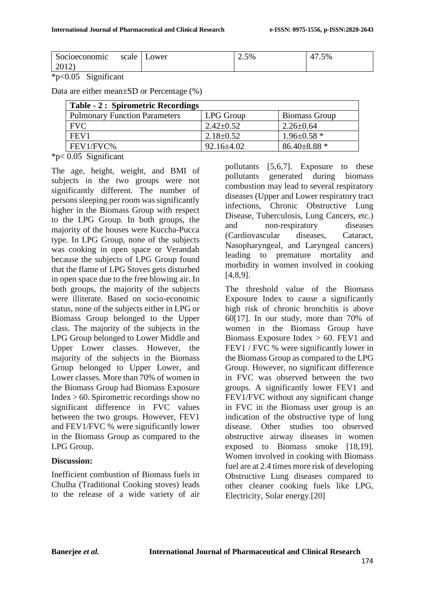| $\sim$<br>Socioeconomic | scale | ower | 2.5% | $\sqrt{2}$<br>47.5% |
|-------------------------|-------|------|------|---------------------|
| 2012                    |       |      |      |                     |

### \*p<0.05 Significant

Data are either mean±SD or Percentage (%)

| <b>Table - 2: Spirometric Recordings</b> |                  |                      |  |  |  |
|------------------------------------------|------------------|----------------------|--|--|--|
| <b>Pulmonary Function Parameters</b>     | LPG Group        | <b>Biomass Group</b> |  |  |  |
| <b>FVC</b>                               | $2.42 \pm 0.52$  | $2.26 \pm 0.64$      |  |  |  |
| FEV <sub>1</sub>                         | $2.18 \pm 0.52$  | $1.96 \pm 0.58$ *    |  |  |  |
| FEV1/FVC%                                | $92.16 \pm 4.02$ | $86.40 \pm 8.88$ *   |  |  |  |

\*p< 0.05 Significant

The age, height, weight, and BMI of subjects in the two groups were not significantly different. The number of persons sleeping per room was significantly higher in the Biomass Group with respect to the LPG Group. In both groups, the majority of the houses were Kuccha-Pucca type. In LPG Group, none of the subjects was cooking in open space or Verandah because the subjects of LPG Group found that the flame of LPG Stoves gets disturbed in open space due to the free blowing air. In both groups, the majority of the subjects were illiterate. Based on socio-economic status, none of the subjects either in LPG or Biomass Group belonged to the Upper class. The majority of the subjects in the LPG Group belonged to Lower Middle and Upper Lower classes. However, the majority of the subjects in the Biomass Group belonged to Upper Lower, and Lower classes. More than 70% of women in the Biomass Group had Biomass Exposure Index > 60. Spirometric recordings show no significant difference in FVC values between the two groups. However, FEV1 and FEV1/FVC % were significantly lower in the Biomass Group as compared to the LPG Group.

## **Discussion:**

Inefficient combustion of Biomass fuels in Chulha (Traditional Cooking stoves) leads to the release of a wide variety of air pollutants [5,6,7]. Exposure to these pollutants generated during biomass combustion may lead to several respiratory diseases (Upper and Lower respiratory tract infections, Chronic Obstructive Lung Disease, Tuberculosis, Lung Cancers, etc.) and non-respiratory diseases (Cardiovascular diseases, Cataract, Nasopharyngeal, and Laryngeal cancers) leading to premature mortality and morbidity in women involved in cooking [4,8,9].

The threshold value of the Biomass Exposure Index to cause a significantly high risk of chronic bronchitis is above 60[17]. In our study, more than 70% of women in the Biomass Group have Biomass Exposure Index  $> 60$ . FEV1 and FEV1 / FVC % were significantly lower in the Biomass Group as compared to the LPG Group. However, no significant difference in FVC was observed between the two groups. A significantly lower FEV1 and FEV1/FVC without any significant change in FVC in the Biomass user group is an indication of the obstructive type of lung disease. Other studies too observed obstructive airway diseases in women exposed to Biomass smoke [18,19]. Women involved in cooking with Biomass fuel are at 2.4 times more risk of developing Obstructive Lung diseases compared to other cleaner cooking fuels like LPG, Electricity, Solar energy.[20]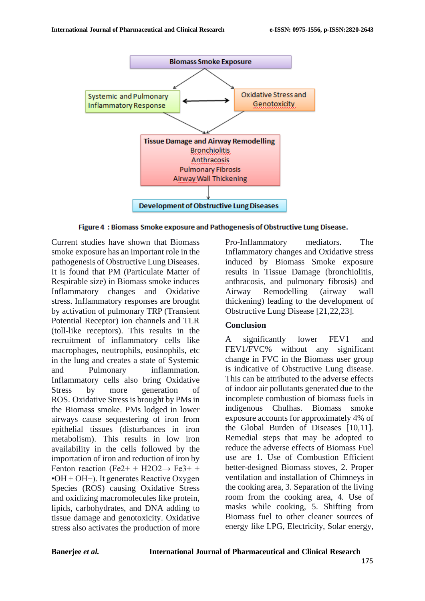

Figure 4: Biomass Smoke exposure and Pathogenesis of Obstructive Lung Disease.

Current studies have shown that Biomass smoke exposure has an important role in the pathogenesis of Obstructive Lung Diseases. It is found that PM (Particulate Matter of Respirable size) in Biomass smoke induces Inflammatory changes and Oxidative stress. Inflammatory responses are brought by activation of pulmonary TRP (Transient Potential Receptor) ion channels and TLR (toll-like receptors). This results in the recruitment of inflammatory cells like macrophages, neutrophils, eosinophils, etc in the lung and creates a state of Systemic and Pulmonary inflammation. Inflammatory cells also bring Oxidative Stress by more generation of ROS. Oxidative Stress is brought by PMs in the Biomass smoke. PMs lodged in lower airways cause sequestering of iron from epithelial tissues (disturbances in iron metabolism). This results in low iron availability in the cells followed by the importation of iron and reduction of iron by Fenton reaction (Fe2+ + H2O2 $\rightarrow$  Fe3+ + •OH + OH−). It generates Reactive Oxygen Species (ROS) causing Oxidative Stress and oxidizing macromolecules like protein, lipids, carbohydrates, and DNA adding to tissue damage and genotoxicity. Oxidative stress also activates the production of more

Pro-Inflammatory mediators. The Inflammatory changes and Oxidative stress induced by Biomass Smoke exposure results in Tissue Damage (bronchiolitis, anthracosis, and pulmonary fibrosis) and Airway Remodelling (airway wall thickening) leading to the development of Obstructive Lung Disease [21,22,23].

### **Conclusion**

A significantly lower FEV1 and FEV1/FVC% without any significant change in FVC in the Biomass user group is indicative of Obstructive Lung disease. This can be attributed to the adverse effects of indoor air pollutants generated due to the incomplete combustion of biomass fuels in indigenous Chulhas. Biomass smoke exposure accounts for approximately 4% of the Global Burden of Diseases [10,11]. Remedial steps that may be adopted to reduce the adverse effects of Biomass Fuel use are 1. Use of Combustion Efficient better-designed Biomass stoves, 2. Proper ventilation and installation of Chimneys in the cooking area, 3. Separation of the living room from the cooking area, 4. Use of masks while cooking, 5. Shifting from Biomass fuel to other cleaner sources of energy like LPG, Electricity, Solar energy,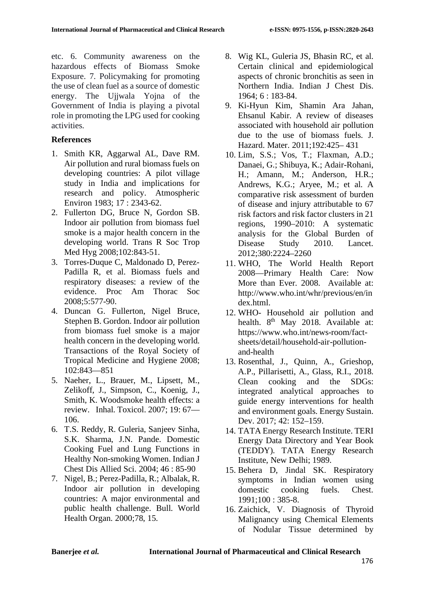etc. 6. Community awareness on the hazardous effects of Biomass Smoke Exposure. 7. Policymaking for promoting the use of clean fuel as a source of domestic energy. The Ujjwala Yojna of the Government of India is playing a pivotal role in promoting the LPG used for cooking activities.

# **References**

- 1. Smith KR, Aggarwal AL, Dave RM. Air pollution and rural biomass fuels on developing countries: A pilot village study in India and implications for research and policy. Atmospheric Environ 1983; 17 : 2343-62.
- 2. Fullerton DG, Bruce N, Gordon SB. Indoor air pollution from biomass fuel smoke is a major health concern in the developing world. Trans R Soc Trop Med Hyg 2008;102:843-51.
- 3. Torres-Duque C, Maldonado D, Perez-Padilla R, et al. Biomass fuels and respiratory diseases: a review of the evidence. Proc Am Thorac Soc 2008;5:577-90.
- 4. Duncan G. Fullerton, Nigel Bruce, Stephen B. Gordon. Indoor air pollution from biomass fuel smoke is a major health concern in the developing world. Transactions of the Royal Society of Tropical Medicine and Hygiene 2008; 102:843—851
- 5. Naeher, L., Brauer, M., Lipsett, M., Zelikoff, J., Simpson, C., Koenig, J., Smith, K. Woodsmoke health effects: a review. Inhal. Toxicol. 2007; 19: 67— 106.
- 6. T.S. Reddy, R. Guleria, Sanjeev Sinha, S.K. Sharma, J.N. Pande. Domestic Cooking Fuel and Lung Functions in Healthy Non-smoking Women. Indian J Chest Dis Allied Sci. 2004; 46 : 85-90
- 7. Nigel, B.; Perez-Padilla, R.; Albalak, R. Indoor air pollution in developing countries: A major environmental and public health challenge. Bull. World Health Organ. 2000;78, 15.
- 8. Wig KL, Guleria JS, Bhasin RC, et al. Certain clinical and epidemiological aspects of chronic bronchitis as seen in Northern India. Indian J Chest Dis. 1964; 6 : 183-84.
- 9. Ki-Hyun Kim, Shamin Ara Jahan, Ehsanul Kabir. A review of diseases associated with household air pollution due to the use of biomass fuels. J. Hazard. Mater. 2011;192:425– 431
- 10. Lim, S.S.; Vos, T.; Flaxman, A.D.; Danaei, G.; Shibuya, K.; Adair-Rohani, H.; Amann, M.; Anderson, H.R.; Andrews, K.G.; Aryee, M.; et al. A comparative risk assessment of burden of disease and injury attributable to 67 risk factors and risk factor clusters in 21 regions, 1990–2010: A systematic analysis for the Global Burden of Disease Study 2010. Lancet. 2012;380:2224–2260
- 11. WHO, The World Health Report 2008—Primary Health Care: Now More than Ever. 2008. Available at: http://www.who.int/whr/previous/en/in dex.html.
- 12. WHO- Household air pollution and health. 8<sup>th</sup> May 2018. Available at: https://www.who.int/news-room/factsheets/detail/household-air-pollutionand-health
- 13. Rosenthal, J., Quinn, A., Grieshop, A.P., Pillarisetti, A., Glass, R.I., 2018. Clean cooking and the SDGs: integrated analytical approaches to guide energy interventions for health and environment goals. Energy Sustain. Dev. 2017; 42: 152–159.
- 14. TATA Energy Research Institute. TERI Energy Data Directory and Year Book (TEDDY). TATA Energy Research Institute, New Delhi; 1989.
- 15. Behera D, Jindal SK. Respiratory symptoms in Indian women using domestic cooking fuels. Chest. 1991;100 : 385-8.
- 16. Zaichick, V. Diagnosis of Thyroid Malignancy using Chemical Elements of Nodular Tissue determined by